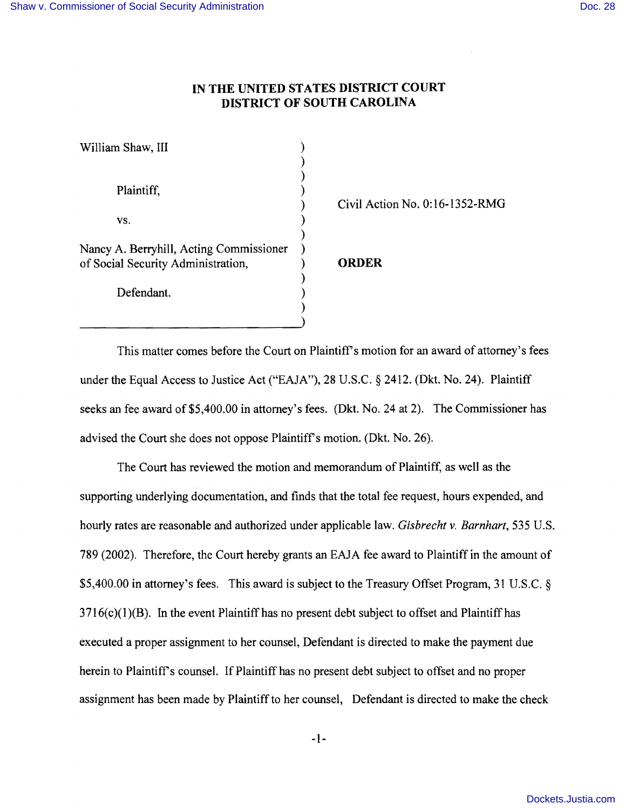## **IN THE UNITED STATES DISTRICT COURT DISTRICT OF SOUTH CAROLINA**

| Civil Act |
|-----------|
|           |
|           |
|           |
| ORDER     |
|           |
|           |
|           |
|           |

) Civil Action No. 0: 16-1352-RMG

This matter comes before the Court on Plaintiff's motion for an award of attorney's fees under the Equal Access to Justice Act ("EAJA"), 28 U.S.C. § 2412. (Dkt. No. 24). Plaintiff seeks an fee award of \$5,400.00 in attorney's fees. (Dkt. No. 24 at 2). The Commissioner has advised the Court she does not oppose Plaintiff's motion. (Dkt. No. 26).

)

The Court has reviewed the motion and memorandum of Plaintiff, as well as the supporting underlying documentation, and finds that the total fee request, hours expended, and hourly rates are reasonable and authorized under applicable law. *Gisbrecht v. Barnhart,* 535 U.S. 789 (2002). Therefore, the Court hereby grants an EAJA fee award to Plaintiff in the amount of \$5,400.00 in attorney's fees. This award is subject to the Treasury Offset Program, 31 U.S.C. §  $3716(c)(1)(B)$ . In the event Plaintiff has no present debt subject to offset and Plaintiff has executed a proper assignment to her counsel, Defendant is directed to make the payment due herein to Plaintiff's counsel. If Plaintiff has no present debt subject to offset and no proper assignment has been made by Plaintiff to her counsel, Defendant is directed to make the check